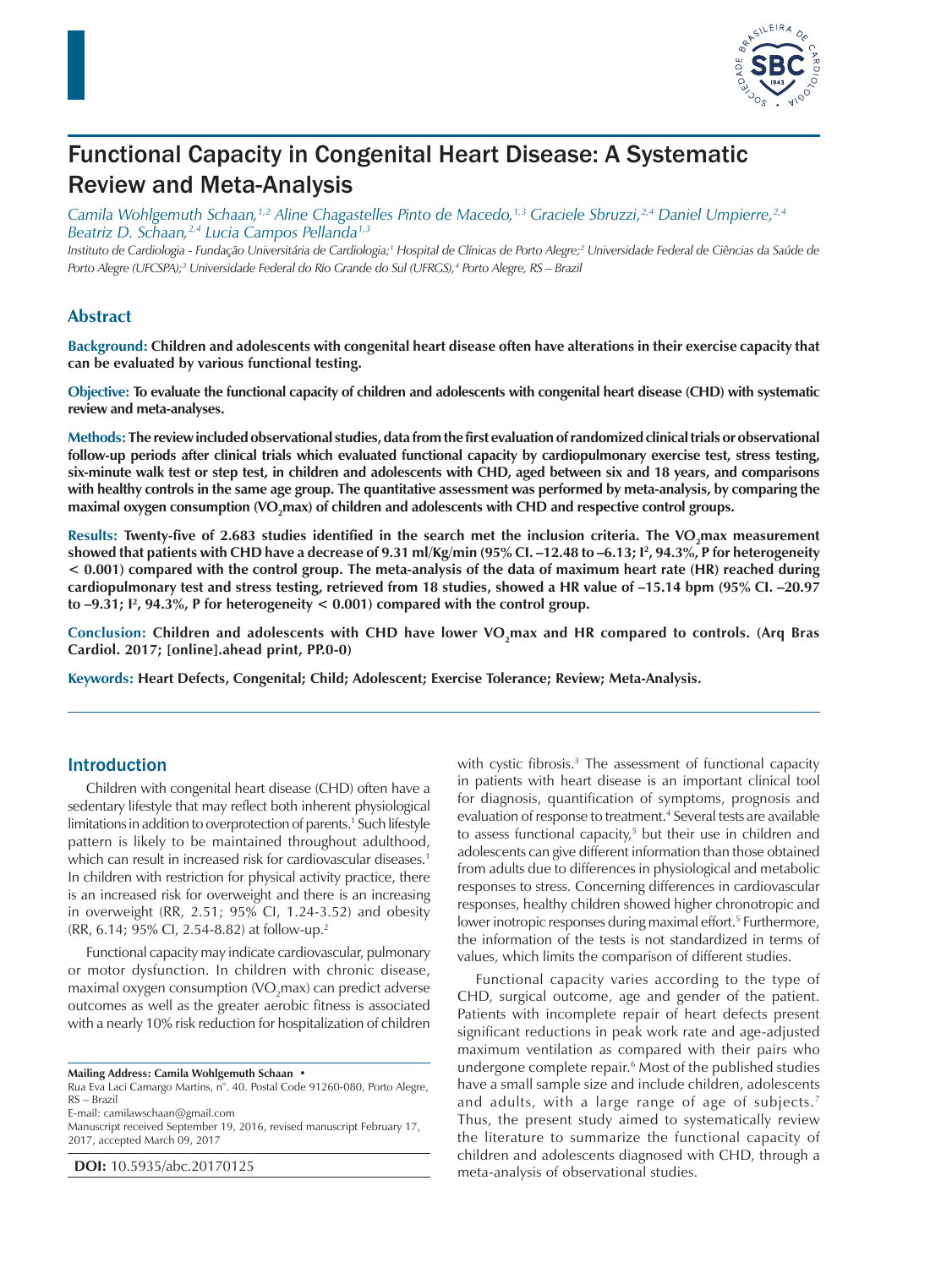

# Functional Capacity in Congenital Heart Disease: A Systematic Review and Meta-Analysis

*Camila Wohlgemuth Schaan,1,2 Aline Chagastelles Pinto de Macedo,1,3 Graciele Sbruzzi,2,4 Daniel Umpierre,2,4 Beatriz D. Schaan,2,4 Lucia Campos Pellanda1,3*

Instituto de Cardiologia - Fundação Universitária de Cardiologia;<sup>1</sup> Hospital de Clínicas de Porto Alegre;<sup>2</sup> Universidade Federal de Ciências da Saúde de *Porto Alegre (UFCSPA);3 Universidade Federal do Rio Grande do Sul (UFRGS),4 Porto Alegre, RS – Brazil*

### **Abstract**

**Background: Children and adolescents with congenital heart disease often have alterations in their exercise capacity that can be evaluated by various functional testing.**

**Objective: To evaluate the functional capacity of children and adolescents with congenital heart disease (CHD) with systematic review and meta-analyses.**

**Methods: The review included observational studies, data from the first evaluation of randomized clinical trials or observational follow-up periods after clinical trials which evaluated functional capacity by cardiopulmonary exercise test, stress testing, six-minute walk test or step test, in children and adolescents with CHD, aged between six and 18 years, and comparisons with healthy controls in the same age group. The quantitative assessment was performed by meta-analysis, by comparing the**  maximal oxygen consumption (VO<sub>2</sub>max) of children and adolescents with CHD and respective control groups.

Results: Twenty-five of 2.683 studies identified in the search met the inclusion criteria. The VO<sub>2</sub>max measurement **showed that patients with CHD have a decrease of 9.31 ml/Kg/min (95% CI. –12.48 to –6.13; I2 , 94.3%, P for heterogeneity < 0.001) compared with the control group. The meta-analysis of the data of maximum heart rate (HR) reached during cardiopulmonary test and stress testing, retrieved from 18 studies, showed a HR value of –15.14 bpm (95% CI. –20.97 to –9.31; I2 , 94.3%, P for heterogeneity < 0.001) compared with the control group.**

Conclusion: Children and adolescents with CHD have lower VO<sub>2</sub>max and HR compared to controls. (Arq Bras **Cardiol. 2017; [online].ahead print, PP.0-0)**

**Keywords: Heart Defects, Congenital; Child; Adolescent; Exercise Tolerance; Review; Meta-Analysis.**

### Introduction

Children with congenital heart disease (CHD) often have a sedentary lifestyle that may reflect both inherent physiological limitations in addition to overprotection of parents.<sup>1</sup> Such lifestyle pattern is likely to be maintained throughout adulthood, which can result in increased risk for cardiovascular diseases. 1 In children with restriction for physical activity practice, there is an increased risk for overweight and there is an increasing in overweight (RR, 2.51; 95% CI, 1.24-3.52) and obesity (RR, 6.14; 95% CI, 2.54-8.82) at follow-up.2

Functional capacity may indicate cardiovascular, pulmonary or motor dysfunction. In children with chronic disease, maximal oxygen consumption (VO $_2$ max) can predict adverse outcomes as well as the greater aerobic fitness is associated with a nearly 10% risk reduction for hospitalization of children

**Mailing Address: Camila Wohlgemuth Schaan •**

Rua Eva Laci Camargo Martins, n°. 40. Postal Code 91260-080, Porto Alegre, RS – Brazil

E-mail: camilawschaan@gmail.com

Manuscript received September 19, 2016, revised manuscript February 17, 2017, accepted March 09, 2017

**DOI:** 10.5935/abc.20170125

with cystic fibrosis.<sup>3</sup> The assessment of functional capacity in patients with heart disease is an important clinical tool for diagnosis, quantification of symptoms, prognosis and evaluation of response to treatment.<sup>4</sup> Several tests are available to assess functional capacity,<sup>5</sup> but their use in children and adolescents can give different information than those obtained from adults due to differences in physiological and metabolic responses to stress. Concerning differences in cardiovascular responses, healthy children showed higher chronotropic and lower inotropic responses during maximal effort.<sup>5</sup> Furthermore, the information of the tests is not standardized in terms of values, which limits the comparison of different studies.

Functional capacity varies according to the type of CHD, surgical outcome, age and gender of the patient. Patients with incomplete repair of heart defects present significant reductions in peak work rate and age-adjusted maximum ventilation as compared with their pairs who undergone complete repair.<sup>6</sup> Most of the published studies have a small sample size and include children, adolescents and adults, with a large range of age of subjects.7 Thus, the present study aimed to systematically review the literature to summarize the functional capacity of children and adolescents diagnosed with CHD, through a meta-analysis of observational studies.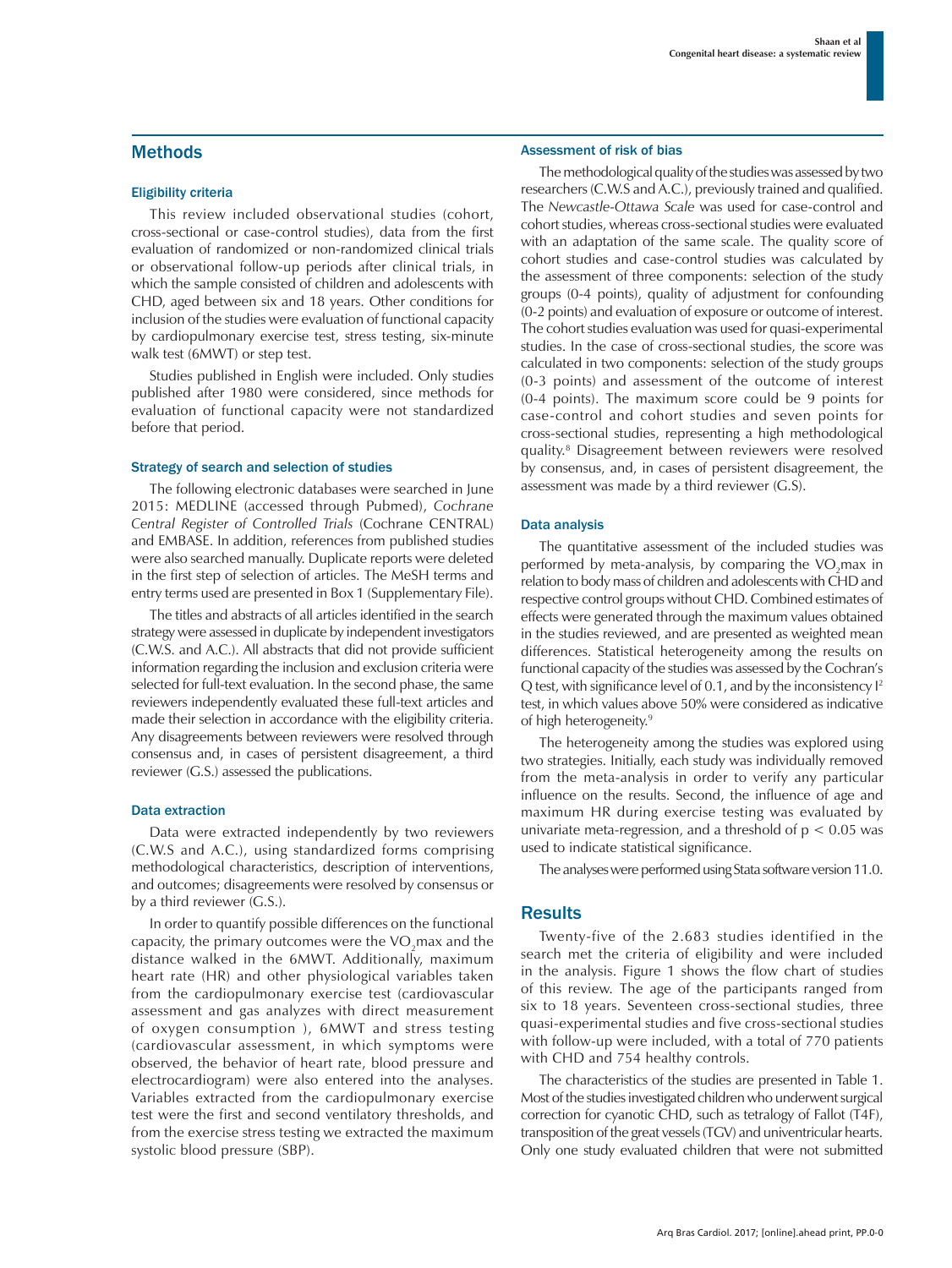### Methods

#### Eligibility criteria

This review included observational studies (cohort, cross-sectional or case-control studies), data from the first evaluation of randomized or non-randomized clinical trials or observational follow-up periods after clinical trials, in which the sample consisted of children and adolescents with CHD, aged between six and 18 years. Other conditions for inclusion of the studies were evaluation of functional capacity by cardiopulmonary exercise test, stress testing, six-minute walk test (6MWT) or step test.

Studies published in English were included. Only studies published after 1980 were considered, since methods for evaluation of functional capacity were not standardized before that period.

#### Strategy of search and selection of studies

The following electronic databases were searched in June 2015: MEDLINE (accessed through Pubmed), *Cochrane Central Register of Controlled Trials* (Cochrane CENTRAL) and EMBASE. In addition, references from published studies were also searched manually. Duplicate reports were deleted in the first step of selection of articles. The MeSH terms and entry terms used are presented in Box 1 (Supplementary File).

The titles and abstracts of all articles identified in the search strategy were assessed in duplicate by independent investigators (C.W.S. and A.C.). All abstracts that did not provide sufficient information regarding the inclusion and exclusion criteria were selected for full-text evaluation. In the second phase, the same reviewers independently evaluated these full-text articles and made their selection in accordance with the eligibility criteria. Any disagreements between reviewers were resolved through consensus and, in cases of persistent disagreement, a third reviewer (G.S.) assessed the publications.

#### Data extraction

Data were extracted independently by two reviewers (C.W.S and A.C.), using standardized forms comprising methodological characteristics, description of interventions, and outcomes; disagreements were resolved by consensus or by a third reviewer (G.S.).

In order to quantify possible differences on the functional capacity, the primary outcomes were the VO<sub>2</sub>max and the distance walked in the 6MWT. Additionally, maximum heart rate (HR) and other physiological variables taken from the cardiopulmonary exercise test (cardiovascular assessment and gas analyzes with direct measurement of oxygen consumption ), 6MWT and stress testing (cardiovascular assessment, in which symptoms were observed, the behavior of heart rate, blood pressure and electrocardiogram) were also entered into the analyses. Variables extracted from the cardiopulmonary exercise test were the first and second ventilatory thresholds, and from the exercise stress testing we extracted the maximum systolic blood pressure (SBP).

#### Assessment of risk of bias

The methodological quality of the studies was assessed by two researchers (C.W.S and A.C.), previously trained and qualified. The *Newcastle-Ottawa Scale* was used for case-control and cohort studies, whereas cross-sectional studies were evaluated with an adaptation of the same scale. The quality score of cohort studies and case-control studies was calculated by the assessment of three components: selection of the study groups (0-4 points), quality of adjustment for confounding (0-2 points) and evaluation of exposure or outcome of interest. The cohort studies evaluation was used for quasi-experimental studies. In the case of cross-sectional studies, the score was calculated in two components: selection of the study groups (0-3 points) and assessment of the outcome of interest (0-4 points). The maximum score could be 9 points for case-control and cohort studies and seven points for cross-sectional studies, representing a high methodological quality.8 Disagreement between reviewers were resolved by consensus, and, in cases of persistent disagreement, the assessment was made by a third reviewer (G.S).

#### Data analysis

The quantitative assessment of the included studies was performed by meta-analysis, by comparing the  $VO<sub>2</sub>$ max in relation to body mass of children and adolescents with CHD and respective control groups without CHD. Combined estimates of effects were generated through the maximum values obtained in the studies reviewed, and are presented as weighted mean differences. Statistical heterogeneity among the results on functional capacity of the studies was assessed by the Cochran's Q test, with significance level of 0.1, and by the inconsistency I2 test, in which values above 50% were considered as indicative of high heterogeneity.<sup>9</sup>

The heterogeneity among the studies was explored using two strategies. Initially, each study was individually removed from the meta-analysis in order to verify any particular influence on the results. Second, the influence of age and maximum HR during exercise testing was evaluated by univariate meta-regression, and a threshold of  $p < 0.05$  was used to indicate statistical significance.

The analyses were performed using Stata software version 11.0.

### **Results**

Twenty-five of the 2.683 studies identified in the search met the criteria of eligibility and were included in the analysis. Figure 1 shows the flow chart of studies of this review. The age of the participants ranged from six to 18 years. Seventeen cross-sectional studies, three quasi-experimental studies and five cross-sectional studies with follow-up were included, with a total of 770 patients with CHD and 754 healthy controls.

The characteristics of the studies are presented in Table 1. Most of the studies investigated children who underwent surgical correction for cyanotic CHD, such as tetralogy of Fallot (T4F), transposition of the great vessels (TGV) and univentricular hearts. Only one study evaluated children that were not submitted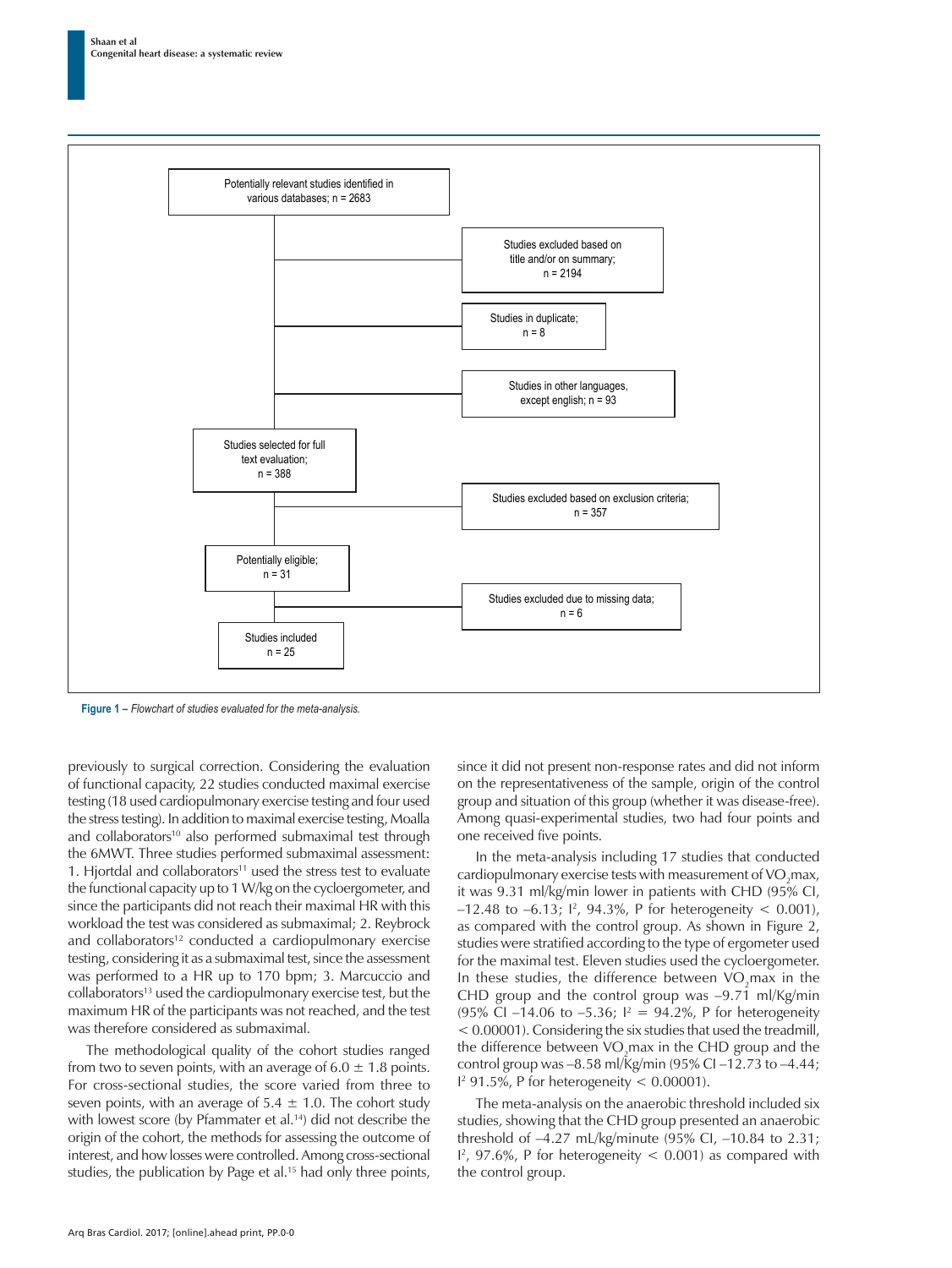

**Figure 1 –** *Flowchart of studies evaluated for the meta-analysis.*

previously to surgical correction. Considering the evaluation of functional capacity, 22 studies conducted maximal exercise testing (18 used cardiopulmonary exercise testing and four used the stress testing). In addition to maximal exercise testing, Moalla and collaborators<sup>10</sup> also performed submaximal test through the 6MWT. Three studies performed submaximal assessment: 1. Hjortdal and collaborators $11$  used the stress test to evaluate the functional capacity up to 1W/kg on the cycloergometer, and since the participants did not reach their maximal HR with this workload the test was considered as submaximal; 2. Reybrock and collaborators<sup>12</sup> conducted a cardiopulmonary exercise testing, considering it as a submaximal test, since the assessment was performed to a HR up to 170 bpm; 3. Marcuccio and collaborators<sup>13</sup> used the cardiopulmonary exercise test, but the maximum HR of the participants was not reached, and the test was therefore considered as submaximal.

The methodological quality of the cohort studies ranged from two to seven points, with an average of  $6.0 \pm 1.8$  points. For cross-sectional studies, the score varied from three to seven points, with an average of  $5.4 \pm 1.0$ . The cohort study with lowest score (by Pfammater et al.<sup>14</sup>) did not describe the origin of the cohort, the methods for assessing the outcome of interest, and how losses were controlled. Among cross-sectional studies, the publication by Page et al.<sup>15</sup> had only three points, since it did not present non-response rates and did not inform on the representativeness of the sample, origin of the control group and situation of this group (whether it was disease-free). Among quasi-experimental studies, two had four points and one received five points.

In the meta-analysis including 17 studies that conducted cardiopulmonary exercise tests with measurement of  $\rm VO_{2}$ max, it was 9.31 ml/kg/min lower in patients with CHD (95% CI,  $-12.48$  to  $-6.13$ ;  $\frac{1^2}{94.3\%}$ , P for heterogeneity < 0.001), as compared with the control group. As shown in Figure 2, studies were stratified according to the type of ergometer used for the maximal test. Eleven studies used the cycloergometer. In these studies, the difference between  $VO<sub>2</sub>$ max in the CHD group and the control group was –9.71 ml/Kg/min (95% CI –14.06 to –5.36;  $I^2 = 94.2\%$ , P for heterogeneity < 0.00001). Considering the six studies that used the treadmill, the difference between  $VO<sub>2</sub>$ max in the CHD group and the control group was –8.58 ml/Kg/min (95% CI –12.73 to –4.44;  $1<sup>2</sup>$  91.5%, P for heterogeneity < 0.00001).

The meta-analysis on the anaerobic threshold included six studies, showing that the CHD group presented an anaerobic threshold of –4.27 mL/kg/minute (95% CI, –10.84 to 2.31;  $I^2$ , 97.6%, P for heterogeneity  $<$  0.001) as compared with the control group.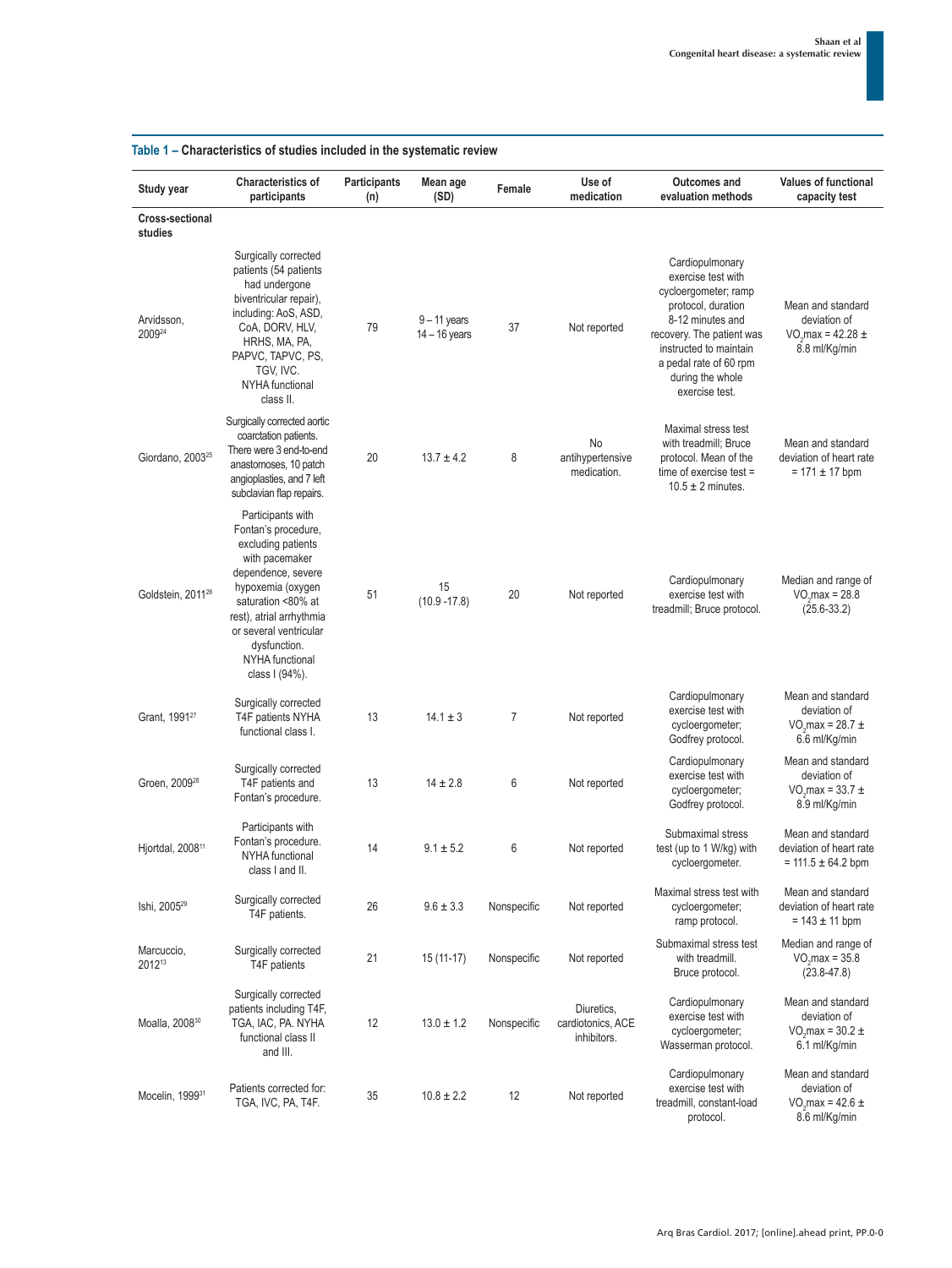| Study year                    | <b>Characteristics of</b><br>participants                                                                                                                                                                                                                    | Participants<br>(n) | Mean age<br>(SD)                  | Female         | Use of<br>medication                           | <b>Outcomes and</b><br>evaluation methods                                                                                                                                                                                      | <b>Values of functional</b><br>capacity test                                           |
|-------------------------------|--------------------------------------------------------------------------------------------------------------------------------------------------------------------------------------------------------------------------------------------------------------|---------------------|-----------------------------------|----------------|------------------------------------------------|--------------------------------------------------------------------------------------------------------------------------------------------------------------------------------------------------------------------------------|----------------------------------------------------------------------------------------|
| Cross-sectional<br>studies    |                                                                                                                                                                                                                                                              |                     |                                   |                |                                                |                                                                                                                                                                                                                                |                                                                                        |
| Arvidsson,<br>200924          | Surgically corrected<br>patients (54 patients<br>had undergone<br>biventricular repair),<br>including: AoS, ASD,<br>CoA, DORV, HLV,<br>HRHS, MA, PA,<br>PAPVC, TAPVC, PS,<br>TGV, IVC.<br>NYHA functional<br>class II.                                       | 79                  | $9 - 11$ years<br>$14 - 16$ years | 37             | Not reported                                   | Cardiopulmonary<br>exercise test with<br>cycloergometer; ramp<br>protocol, duration<br>8-12 minutes and<br>recovery. The patient was<br>instructed to maintain<br>a pedal rate of 60 rpm<br>during the whole<br>exercise test. | Mean and standard<br>deviation of<br>VO max = $42.28 \pm$<br>8.8 ml/Kg/min             |
| Giordano, 2003 <sup>25</sup>  | Surgically corrected aortic<br>coarctation patients.<br>There were 3 end-to-end<br>anastomoses, 10 patch<br>angioplasties, and 7 left<br>subclavian flap repairs.                                                                                            | 20                  | $13.7 \pm 4.2$                    | 8              | No<br>antihypertensive<br>medication.          | Maximal stress test<br>with treadmill; Bruce<br>protocol. Mean of the<br>time of exercise test $=$<br>$10.5 \pm 2$ minutes.                                                                                                    | Mean and standard<br>deviation of heart rate<br>$= 171 \pm 17$ bpm                     |
| Goldstein, 2011 <sup>26</sup> | Participants with<br>Fontan's procedure,<br>excluding patients<br>with pacemaker<br>dependence, severe<br>hypoxemia (oxygen<br>saturation <80% at<br>rest), atrial arrhythmia<br>or several ventricular<br>dysfunction.<br>NYHA functional<br>class I (94%). | 51                  | 15<br>$(10.9 - 17.8)$             | 20             | Not reported                                   | Cardiopulmonary<br>exercise test with<br>treadmill; Bruce protocol.                                                                                                                                                            | Median and range of<br>$VOn$ max = 28.8<br>$(25.6 - 33.2)$                             |
| Grant, 1991 <sup>27</sup>     | Surgically corrected<br>T4F patients NYHA<br>functional class I.                                                                                                                                                                                             | 13                  | $14.1 \pm 3$                      | $\overline{7}$ | Not reported                                   | Cardiopulmonary<br>exercise test with<br>cycloergometer;<br>Godfrey protocol.                                                                                                                                                  | Mean and standard<br>deviation of<br>VO, max = $28.7 \pm$<br>6.6 ml/Kg/min             |
| Groen. 2009 <sup>28</sup>     | Surgically corrected<br>T4F patients and<br>Fontan's procedure.                                                                                                                                                                                              | 13                  | $14 \pm 2.8$                      | 6              | Not reported                                   | Cardiopulmonary<br>exercise test with<br>cycloergometer;<br>Godfrey protocol.                                                                                                                                                  | Mean and standard<br>deviation of<br>VO, max = $33.7 \pm$<br>8.9 ml/Kg/min             |
| Hjortdal, 2008 <sup>11</sup>  | Participants with<br>Fontan's procedure.<br>NYHA functional<br>class I and II.                                                                                                                                                                               | 14                  | $9.1 \pm 5.2$                     | 6              | Not reported                                   | Submaximal stress<br>test (up to 1 W/kg) with<br>cycloergometer.                                                                                                                                                               | Mean and standard<br>deviation of heart rate<br>$= 111.5 \pm 64.2$ bpm                 |
| Ishi, 2005 <sup>29</sup>      | Surgically corrected<br>T4F patients.                                                                                                                                                                                                                        | 26                  | $9.6 \pm 3.3$                     | Nonspecific    | Not reported                                   | Maximal stress test with<br>cycloergometer;<br>ramp protocol.                                                                                                                                                                  | Mean and standard<br>deviation of heart rate<br>$= 143 \pm 11$ bpm                     |
| Marcuccio,<br>201213          | Surgically corrected<br>T4F patients                                                                                                                                                                                                                         | 21                  | $15(11-17)$                       | Nonspecific    | Not reported                                   | Submaximal stress test<br>with treadmill.<br>Bruce protocol.                                                                                                                                                                   | Median and range of<br>$VO2max = 35.8$<br>$(23.8 - 47.8)$                              |
| Moalla, 2008 <sup>30</sup>    | Surgically corrected<br>patients including T4F,<br>TGA, IAC, PA. NYHA<br>functional class II<br>and III.                                                                                                                                                     | 12                  | $13.0 \pm 1.2$                    | Nonspecific    | Diuretics,<br>cardiotonics, ACE<br>inhibitors. | Cardiopulmonary<br>exercise test with<br>cycloergometer;<br>Wasserman protocol.                                                                                                                                                | Mean and standard<br>deviation of<br>VO <sub>2</sub> max = $30.2 \pm$<br>6.1 ml/Kg/min |
| Mocelin, 199931               | Patients corrected for:<br>TGA, IVC, PA, T4F.                                                                                                                                                                                                                | 35                  | $10.8 \pm 2.2$                    | 12             | Not reported                                   | Cardiopulmonary<br>exercise test with<br>treadmill, constant-load<br>protocol.                                                                                                                                                 | Mean and standard<br>deviation of<br>VO <sub>2</sub> max = 42.6 $\pm$<br>8.6 ml/Kg/min |

### **Table 1 – Characteristics of studies included in the systematic review**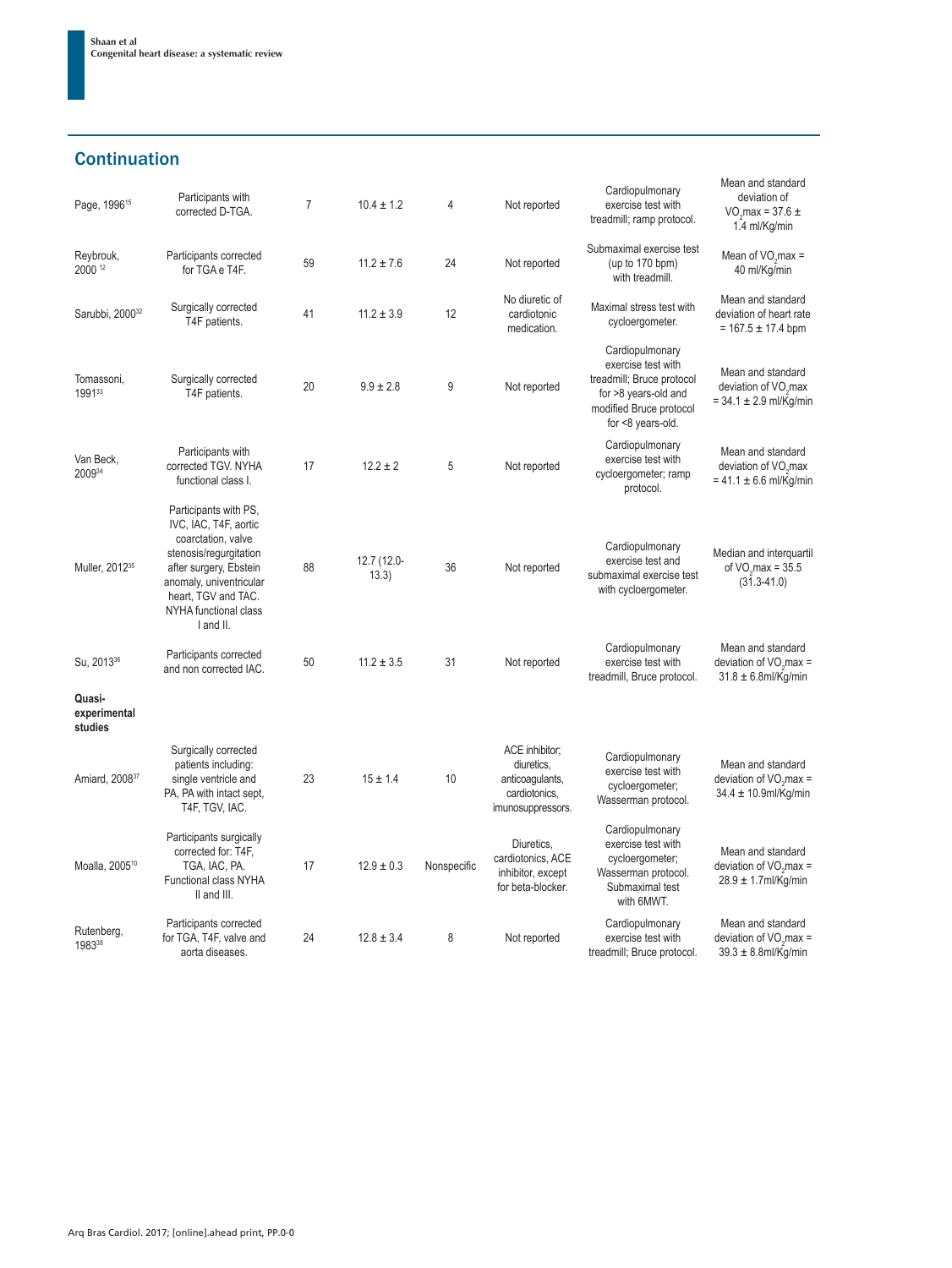## **Continuation**

| Page, 1996 <sup>15</sup>          | Participants with<br>corrected D-TGA.                                                                                                                                                                            | $\overline{7}$ | $10.4 \pm 1.2$       | 4           | Not reported                                                                          | Cardiopulmonary<br>exercise test with<br>treadmill; ramp protocol.                                                                         | Mean and standard<br>deviation of<br>VO <sub>2</sub> max = $37.6 \pm$<br>1.4 ml/Kg/min |
|-----------------------------------|------------------------------------------------------------------------------------------------------------------------------------------------------------------------------------------------------------------|----------------|----------------------|-------------|---------------------------------------------------------------------------------------|--------------------------------------------------------------------------------------------------------------------------------------------|----------------------------------------------------------------------------------------|
| Reybrouk,<br>2000 12              | Participants corrected<br>for TGA e T4F.                                                                                                                                                                         | 59             | $11.2 \pm 7.6$       | 24          | Not reported                                                                          | Submaximal exercise test<br>(up to 170 bpm)<br>with treadmill.                                                                             | Mean of $VOn$ max =<br>40 ml/Kg/min                                                    |
| Sarubbi, 2000 <sup>32</sup>       | Surgically corrected<br>T4F patients.                                                                                                                                                                            | 41             | $11.2 \pm 3.9$       | 12          | No diuretic of<br>cardiotonic<br>medication.                                          | Maximal stress test with<br>cycloergometer.                                                                                                | Mean and standard<br>deviation of heart rate<br>$= 167.5 \pm 17.4$ bpm                 |
| Tomassoni,<br>199133              | Surgically corrected<br>T4F patients.                                                                                                                                                                            | 20             | $9.9 \pm 2.8$        | 9           | Not reported                                                                          | Cardiopulmonary<br>exercise test with<br>treadmill; Bruce protocol<br>for >8 years-old and<br>modified Bruce protocol<br>for <8 years-old. | Mean and standard<br>deviation of VO <sub>2</sub> max<br>$= 34.1 \pm 2.9$ ml/Kg/min    |
| Van Beck,<br>200934               | Participants with<br>corrected TGV. NYHA<br>functional class I.                                                                                                                                                  | 17             | $12.2 \pm 2$         | 5           | Not reported                                                                          | Cardiopulmonary<br>exercise test with<br>cycloergometer; ramp<br>protocol.                                                                 | Mean and standard<br>deviation of VO <sub>2</sub> max<br>$= 41.1 \pm 6.6$ ml/Kg/min    |
| Muller, 2012 <sup>35</sup>        | Participants with PS,<br>IVC, IAC, T4F, aortic<br>coarctation, valve<br>stenosis/regurgitation<br>after surgery, Ebstein<br>anomaly, univentricular<br>heart, TGV and TAC.<br>NYHA functional class<br>I and II. | 88             | 12.7 (12.0-<br>13.3) | 36          | Not reported                                                                          | Cardiopulmonary<br>exercise test and<br>submaximal exercise test<br>with cycloergometer.                                                   | Median and interquartil<br>of $VOnmax = 35.5$<br>$(31.3 - 41.0)$                       |
| Su, 2013 <sup>36</sup>            | Participants corrected<br>and non corrected IAC.                                                                                                                                                                 | 50             | $11.2 \pm 3.5$       | 31          | Not reported                                                                          | Cardiopulmonary<br>exercise test with<br>treadmill, Bruce protocol.                                                                        | Mean and standard<br>deviation of $VO2$ max =<br>$31.8 \pm 6.8$ ml/Kg/min              |
| Quasi-<br>experimental<br>studies |                                                                                                                                                                                                                  |                |                      |             |                                                                                       |                                                                                                                                            |                                                                                        |
| Amiard, 2008 <sup>37</sup>        | Surgically corrected<br>patients including:<br>single ventricle and<br>PA, PA with intact sept,<br>T4F, TGV, IAC.                                                                                                | 23             | $15 \pm 1.4$         | 10          | ACE inhibitor;<br>diuretics,<br>anticoaqulants,<br>cardiotonics.<br>imunosuppressors. | Cardiopulmonary<br>exercise test with<br>cycloergometer;<br>Wasserman protocol.                                                            | Mean and standard<br>deviation of $VOn$ max =<br>$34.4 \pm 10.9$ ml/Kg/min             |
| Moalla, 2005 <sup>10</sup>        | Participants surgically<br>corrected for: T4F,<br>TGA, IAC, PA.<br>Functional class NYHA<br>II and III.                                                                                                          | 17             | $12.9 \pm 0.3$       | Nonspecific | Diuretics.<br>cardiotonics, ACE<br>inhibitor, except<br>for beta-blocker.             | Cardiopulmonary<br>exercise test with<br>cycloergometer;<br>Wasserman protocol.<br>Submaximal test<br>with 6MWT.                           | Mean and standard<br>deviation of $VOn$ max =<br>$28.9 \pm 1.7$ ml/Kg/min              |
| Rutenberg,<br>198338              | Participants corrected<br>for TGA, T4F, valve and<br>aorta diseases.                                                                                                                                             | 24             | $12.8 \pm 3.4$       | 8           | Not reported                                                                          | Cardiopulmonary<br>exercise test with<br>treadmill; Bruce protocol.                                                                        | Mean and standard<br>deviation of $VO2$ max =<br>$39.3 \pm 8.8$ ml/Kg/min              |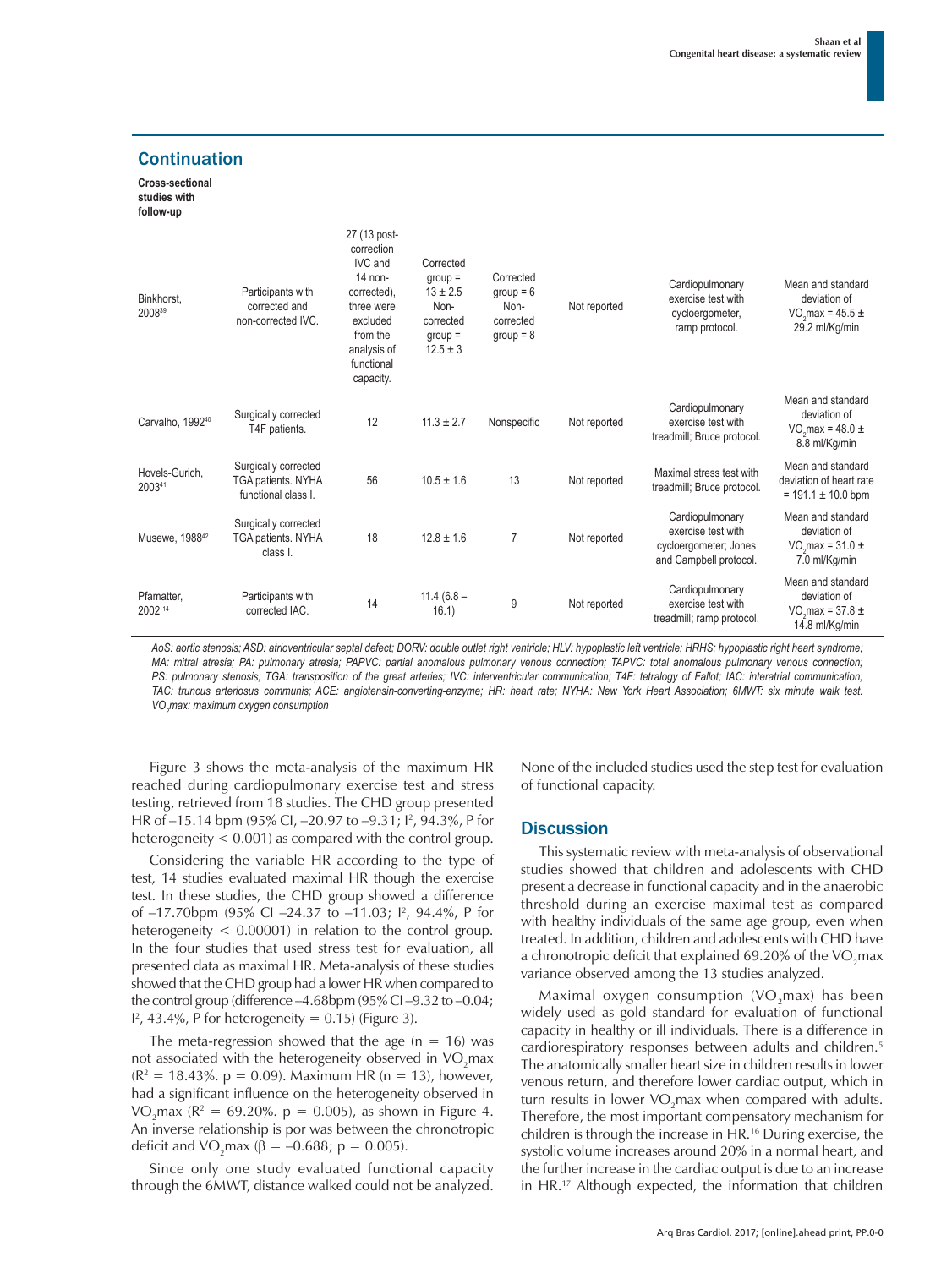Mean and standard

#### **Cross-sectional studies with follow-up** Binkhorst, Particinants with 27 (13 postcorrection IVC and 14 noncorrected) Corrected group =  $13 \pm 2.5$ Corrected  $\alpha$ roup = 6

**Continuation** 

| Binkhorst,<br>200839         | corrected and<br>non-corrected IVC.                               | 0011001041,<br>three were<br>excluded<br>from the<br>analysis of<br>functional<br>capacity. | Non-<br>corrected<br>$group =$<br>$12.5 \pm 3$ | $y \cdot \vee \vee \vee$<br>Non-<br>corrected<br>$group = 8$ | Not reported | exercise test with<br>cycloergometer,<br>ramp protocol.                                  | deviation of<br>VO max = $45.5 \pm$<br>29.2 ml/Kg/min                                   |
|------------------------------|-------------------------------------------------------------------|---------------------------------------------------------------------------------------------|------------------------------------------------|--------------------------------------------------------------|--------------|------------------------------------------------------------------------------------------|-----------------------------------------------------------------------------------------|
| Carvalho, 1992 <sup>40</sup> | Surgically corrected<br>T4F patients.                             | 12                                                                                          | $11.3 \pm 2.7$                                 | Nonspecific                                                  | Not reported | Cardiopulmonary<br>exercise test with<br>treadmill; Bruce protocol.                      | Mean and standard<br>deviation of<br>VO <sub>2</sub> max = 48.0 $\pm$<br>8.8 ml/Kg/min  |
| Hovels-Gurich.<br>200341     | Surgically corrected<br>TGA patients. NYHA<br>functional class I. | 56                                                                                          | $10.5 \pm 1.6$                                 | 13                                                           | Not reported | Maximal stress test with<br>treadmill; Bruce protocol.                                   | Mean and standard<br>deviation of heart rate<br>$= 191.1 \pm 10.0$ bpm                  |
| Musewe, 1988 <sup>42</sup>   | Surgically corrected<br>TGA patients. NYHA<br>class I.            | 18                                                                                          | $12.8 \pm 1.6$                                 | 7                                                            | Not reported | Cardiopulmonary<br>exercise test with<br>cycloergometer; Jones<br>and Campbell protocol. | Mean and standard<br>deviation of<br>VO max = $31.0 \pm$<br>7.0 ml/Kg/min               |
| Pfamatter,<br>2002 14        | Participants with<br>corrected IAC.                               | 14                                                                                          | $11.4(6.8 -$<br>16.1)                          | 9                                                            | Not reported | Cardiopulmonary<br>exercise test with<br>treadmill; ramp protocol.                       | Mean and standard<br>deviation of<br>VO <sub>2</sub> max = $37.8 \pm$<br>14.8 ml/Kg/min |

AoS: aortic stenosis; ASD: atrioventricular septal defect; DORV: double outlet right ventricle; HLV: hypoplastic left ventricle; HRHS: hypoplastic right heart syndrome; *MA: mitral atresia; PA: pulmonary atresia; PAPVC: partial anomalous pulmonary venous connection; TAPVC: total anomalous pulmonary venous connection;*  PS: pulmonary stenosis; TGA: transposition of the great arteries; IVC: interventricular communication; T4F: tetralogy of Fallot; IAC: interatrial communication; *TAC: truncus arteriosus communis; ACE: angiotensin-converting-enzyme; HR: heart rate; NYHA: New York Heart Association; 6MWT: six minute walk test. VO2 max: maximum oxygen consumption*

Figure 3 shows the meta-analysis of the maximum HR reached during cardiopulmonary exercise test and stress testing, retrieved from 18 studies. The CHD group presented HR of –15.14 bpm (95% CI, –20.97 to –9.31; I2 , 94.3%, P for heterogeneity < 0.001) as compared with the control group.

Considering the variable HR according to the type of test, 14 studies evaluated maximal HR though the exercise test. In these studies, the CHD group showed a difference of -17.70bpm (95% CI -24.37 to -11.03; 1<sup>2</sup>, 94.4%, P for heterogeneity  $< 0.00001$ ) in relation to the control group. In the four studies that used stress test for evaluation, all presented data as maximal HR. Meta-analysis of these studies showed that the CHD group had a lower HR when compared to the control group (difference –4.68bpm (95% CI –9.32 to –0.04;  $I^2$ , 43.4%, P for heterogeneity = 0.15) (Figure 3).

The meta-regression showed that the age  $(n = 16)$  was not associated with the heterogeneity observed in  $\mathrm{VO}_2$ max  $(R^2 = 18.43\%$ . p = 0.09). Maximum HR (n = 13), however, had a significant influence on the heterogeneity observed in  $VO<sub>2</sub>max (R<sup>2</sup> = 69.20%. p = 0.005), as shown in Figure 4.$ An inverse relationship is por was between the chronotropic deficit and VO<sub>2</sub>max (β = -0.688; p = 0.005).

Since only one study evaluated functional capacity through the 6MWT, distance walked could not be analyzed.

None of the included studies used the step test for evaluation of functional capacity.

**Cardiopulmonary** 

### **Discussion**

This systematic review with meta-analysis of observational studies showed that children and adolescents with CHD present a decrease in functional capacity and in the anaerobic threshold during an exercise maximal test as compared with healthy individuals of the same age group, even when treated. In addition, children and adolescents with CHD have a chronotropic deficit that explained 69.20% of the VO<sub>2</sub>max variance observed among the 13 studies analyzed.

Maximal oxygen consumption  $(VO<sub>2</sub>max)$  has been widely used as gold standard for evaluation of functional capacity in healthy or ill individuals. There is a difference in cardiorespiratory responses between adults and children.5 The anatomically smaller heart size in children results in lower venous return, and therefore lower cardiac output, which in turn results in lower VO<sub>2</sub>max when compared with adults. Therefore, the most important compensatory mechanism for children is through the increase in HR.16 During exercise, the systolic volume increases around 20% in a normal heart, and the further increase in the cardiac output is due to an increase in HR.17 Although expected, the information that children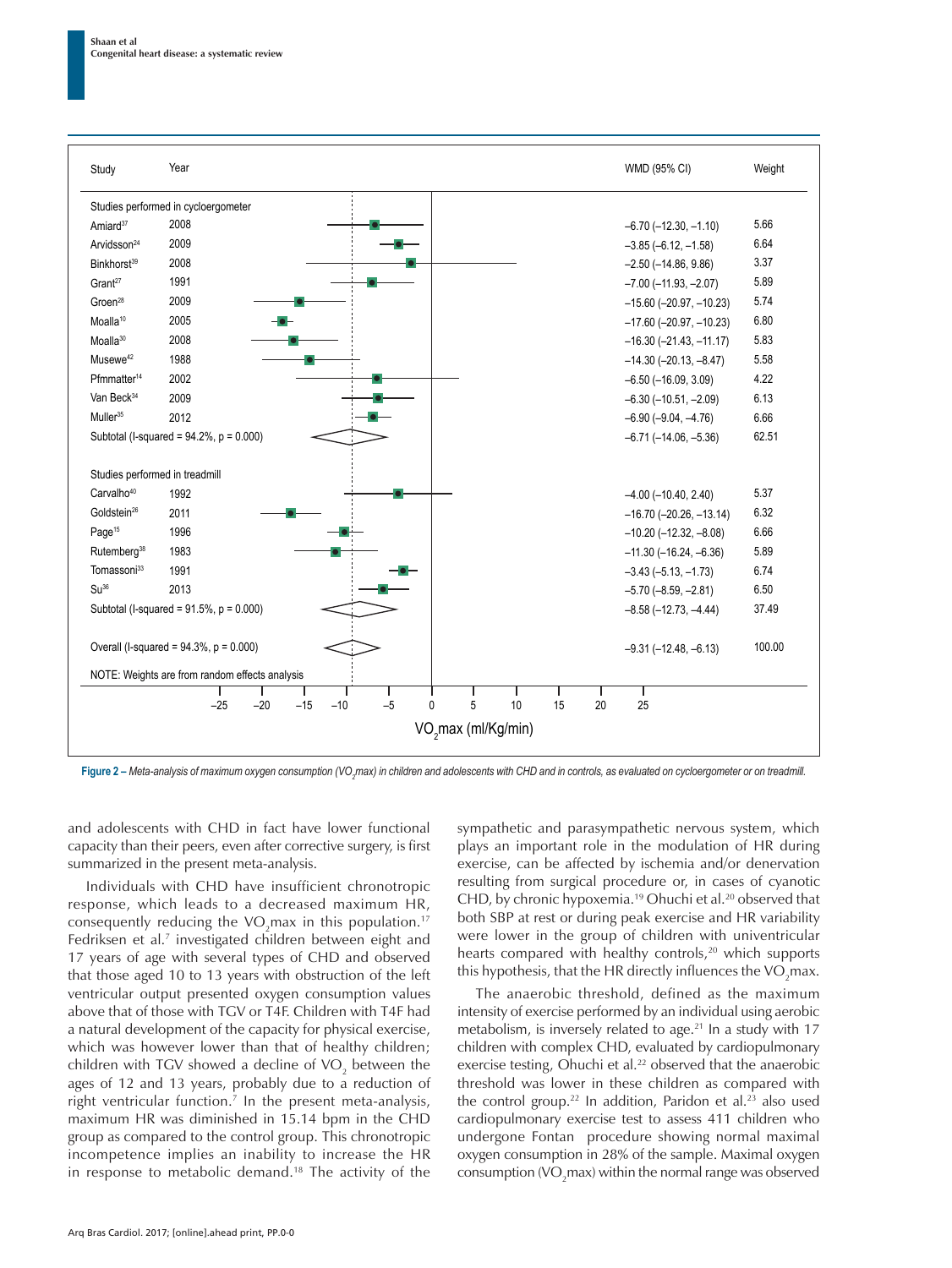

**Figure 2 – Meta-analysis of maximum oxygen consumption (VO<sub>z</sub>max) in children and adolescents with CHD and in controls, as evaluated on cycloergometer or on treadmill.** 

and adolescents with CHD in fact have lower functional capacity than their peers, even after corrective surgery, is first summarized in the present meta-analysis.

Individuals with CHD have insufficient chronotropic response, which leads to a decreased maximum HR, consequently reducing the VO<sub>2</sub>max in this population.<sup>17</sup> Fedriksen et al.<sup>7</sup> investigated children between eight and 17 years of age with several types of CHD and observed that those aged 10 to 13 years with obstruction of the left ventricular output presented oxygen consumption values above that of those with TGV or T4F. Children with T4F had a natural development of the capacity for physical exercise, which was however lower than that of healthy children; children with TGV showed a decline of VO<sub>2</sub> between the ages of 12 and 13 years, probably due to a reduction of right ventricular function.7 In the present meta-analysis, maximum HR was diminished in 15.14 bpm in the CHD group as compared to the control group. This chronotropic incompetence implies an inability to increase the HR in response to metabolic demand.18 The activity of the

sympathetic and parasympathetic nervous system, which plays an important role in the modulation of HR during exercise, can be affected by ischemia and/or denervation resulting from surgical procedure or, in cases of cyanotic CHD, by chronic hypoxemia.19 Ohuchi et al.20 observed that both SBP at rest or during peak exercise and HR variability were lower in the group of children with univentricular hearts compared with healthy controls,<sup>20</sup> which supports this hypothesis, that the HR directly influences the VO<sub>2</sub>max.

The anaerobic threshold, defined as the maximum intensity of exercise performed by an individual using aerobic metabolism, is inversely related to age.<sup>21</sup> In a study with 17 children with complex CHD, evaluated by cardiopulmonary exercise testing, Ohuchi et al.<sup>22</sup> observed that the anaerobic threshold was lower in these children as compared with the control group.<sup>22</sup> In addition, Paridon et al.<sup>23</sup> also used cardiopulmonary exercise test to assess 411 children who undergone Fontan procedure showing normal maximal oxygen consumption in 28% of the sample. Maximal oxygen consumption (VO<sub>2</sub>max) within the normal range was observed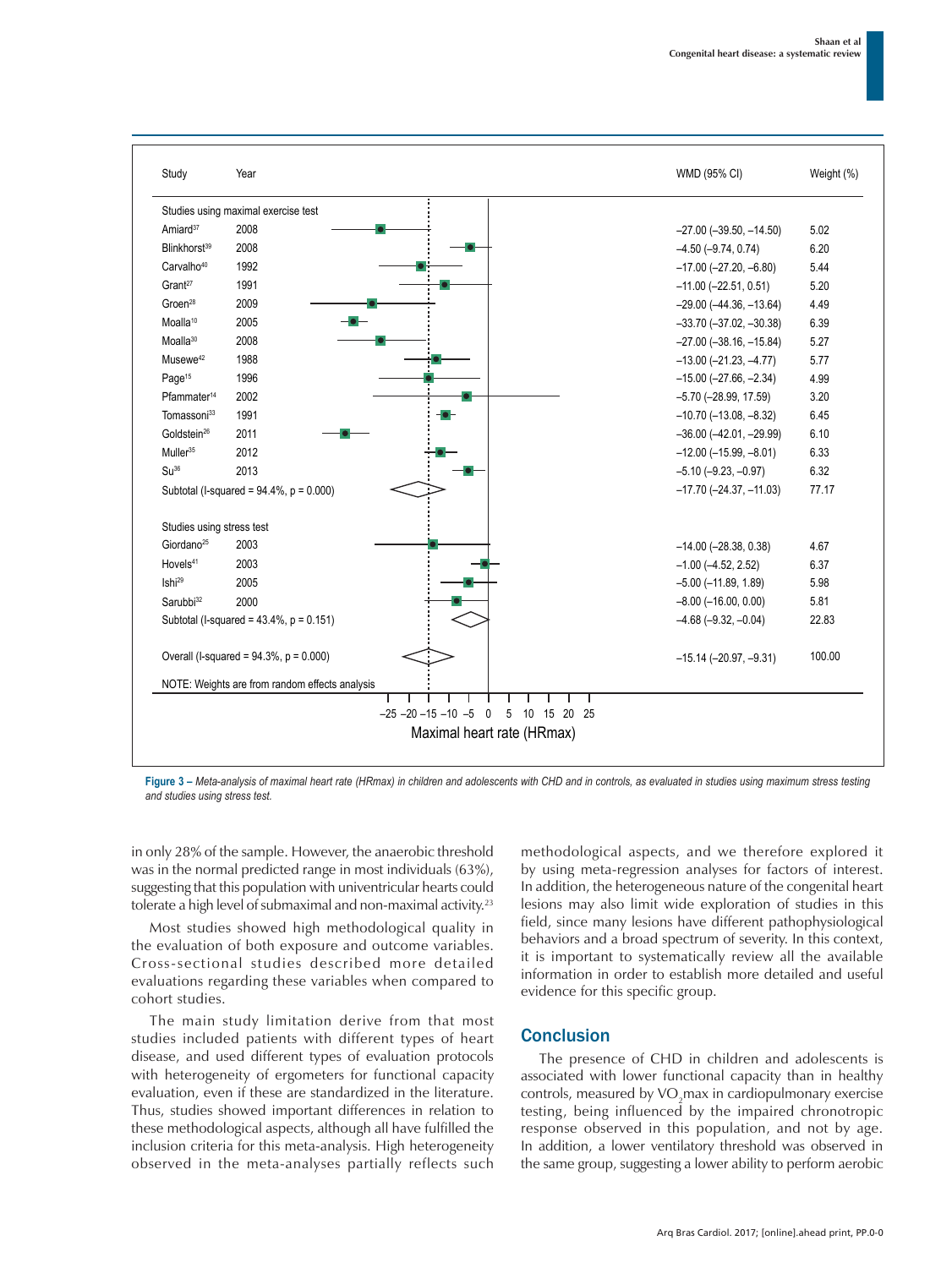

**Figure 3 –** *Meta-analysis of maximal heart rate (HRmax) in children and adolescents with CHD and in controls, as evaluated in studies using maximum stress testing and studies using stress test.*

in only 28% of the sample. However, the anaerobic threshold was in the normal predicted range in most individuals (63%), suggesting that this population with univentricular hearts could tolerate a high level of submaximal and non-maximal activity.<sup>23</sup>

Most studies showed high methodological quality in the evaluation of both exposure and outcome variables. Cross-sectional studies described more detailed evaluations regarding these variables when compared to cohort studies.

The main study limitation derive from that most studies included patients with different types of heart disease, and used different types of evaluation protocols with heterogeneity of ergometers for functional capacity evaluation, even if these are standardized in the literature. Thus, studies showed important differences in relation to these methodological aspects, although all have fulfilled the inclusion criteria for this meta-analysis. High heterogeneity observed in the meta-analyses partially reflects such methodological aspects, and we therefore explored it by using meta-regression analyses for factors of interest. In addition, the heterogeneous nature of the congenital heart lesions may also limit wide exploration of studies in this field, since many lesions have different pathophysiological behaviors and a broad spectrum of severity. In this context, it is important to systematically review all the available information in order to establish more detailed and useful evidence for this specific group.

### **Conclusion**

The presence of CHD in children and adolescents is associated with lower functional capacity than in healthy controls, measured by  $VO<sub>2</sub>$ max in cardiopulmonary exercise testing, being influenced by the impaired chronotropic response observed in this population, and not by age. In addition, a lower ventilatory threshold was observed in the same group, suggesting a lower ability to perform aerobic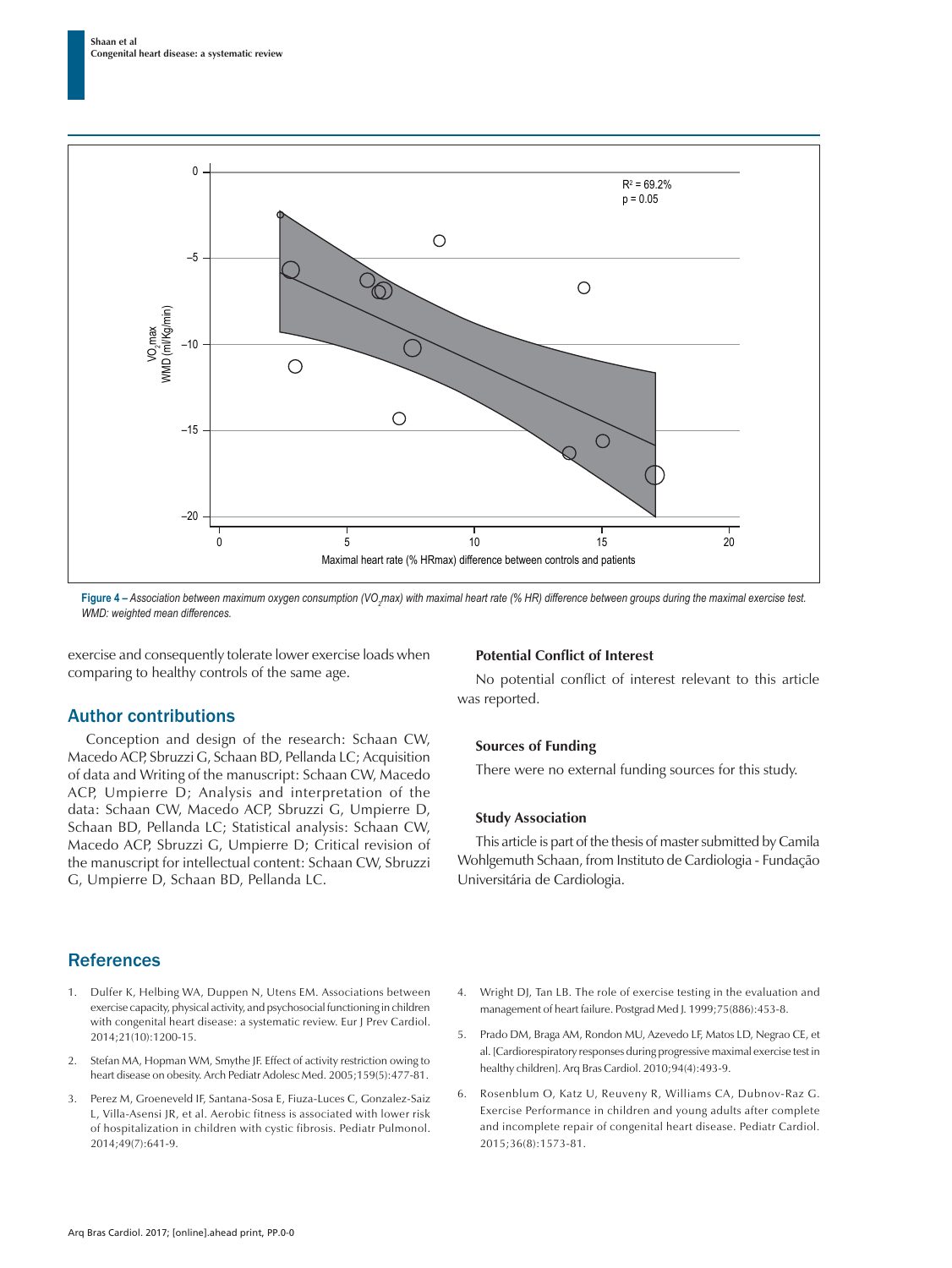

**Figure 4 – Association between maximum oxygen consumption (VO<sub>2</sub>max) with maximal heart rate (% HR) difference between groups during the maximal exercise test.** *WMD: weighted mean differences.*

exercise and consequently tolerate lower exercise loads when comparing to healthy controls of the same age.

### Author contributions

Conception and design of the research: Schaan CW, Macedo ACP, Sbruzzi G, Schaan BD, Pellanda LC; Acquisition of data and Writing of the manuscript: Schaan CW, Macedo ACP, Umpierre D; Analysis and interpretation of the data: Schaan CW, Macedo ACP, Sbruzzi G, Umpierre D, Schaan BD, Pellanda LC; Statistical analysis: Schaan CW, Macedo ACP, Sbruzzi G, Umpierre D; Critical revision of the manuscript for intellectual content: Schaan CW, Sbruzzi G, Umpierre D, Schaan BD, Pellanda LC.

### **Potential Conflict of Interest**

No potential conflict of interest relevant to this article was reported.

#### **Sources of Funding**

There were no external funding sources for this study.

#### **Study Association**

This article is part of the thesis of master submitted by Camila Wohlgemuth Schaan, from Instituto de Cardiologia - Fundação Universitária de Cardiologia.

### **References**

- 1. Dulfer K, Helbing WA, Duppen N, Utens EM. Associations between exercise capacity, physical activity, and psychosocial functioning in children with congenital heart disease: a systematic review. Eur J Prev Cardiol. 2014;21(10):1200-15.
- 2. Stefan MA, Hopman WM, Smythe JF. Effect of activity restriction owing to heart disease on obesity. Arch Pediatr Adolesc Med. 2005;159(5):477-81.
- 3. Perez M, Groeneveld IF, Santana-Sosa E, Fiuza-Luces C, Gonzalez-Saiz L, Villa-Asensi JR, et al. Aerobic fitness is associated with lower risk of hospitalization in children with cystic fibrosis. Pediatr Pulmonol. 2014;49(7):641-9.
- 4. Wright DJ, Tan LB. The role of exercise testing in the evaluation and management of heart failure. Postgrad Med J. 1999;75(886):453-8.
- 5. Prado DM, Braga AM, Rondon MU, Azevedo LF, Matos LD, Negrao CE, et al. [Cardiorespiratory responses during progressive maximal exercise test in healthy children]. Arq Bras Cardiol. 2010;94(4):493-9.
- 6. Rosenblum O, Katz U, Reuveny R, Williams CA, Dubnov-Raz G. Exercise Performance in children and young adults after complete and incomplete repair of congenital heart disease. Pediatr Cardiol. 2015;36(8):1573-81.